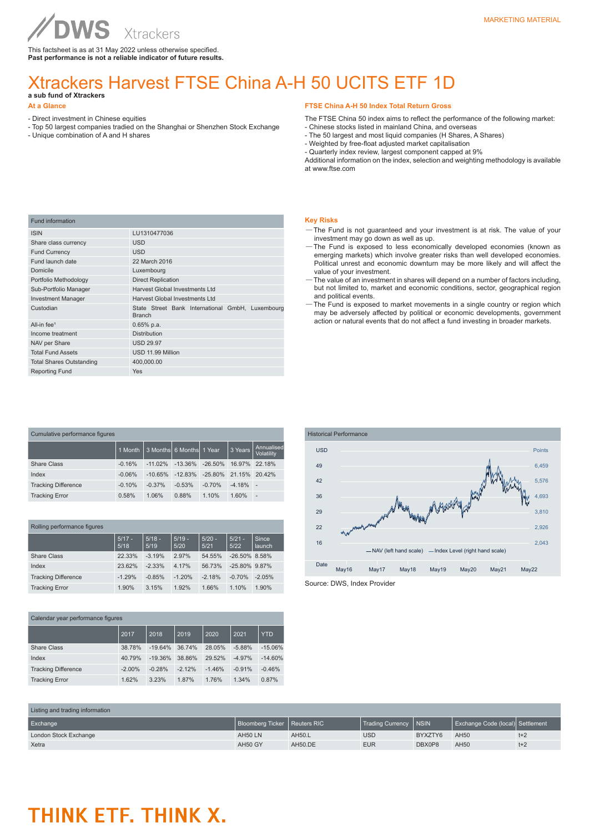### Xtrackers Harvest FTSE China A-H 50 UCITS ETF 1D **a sub fund of Xtrackers**

#### **At a Glance**

- Direct investment in Chinese equities
- Top 50 largest companies tradied on the Shanghai or Shenzhen Stock Exchange
- Unique combination of A and H shares

#### **FTSE China A-H 50 Index Total Return Gross**

- The FTSE China 50 index aims to reflect the performance of the following market:
- Chinese stocks listed in mainland China, and overseas
- The 50 largest and most liquid companies (H Shares, A Shares)
- Weighted by free-float adjusted market capitalisation

- Quarterly index review, largest component capped at 9%

Additional information on the index, selection and weighting methodology is available at www.ftse.com

| <b>Fund information</b>         |                                                                   |
|---------------------------------|-------------------------------------------------------------------|
| <b>ISIN</b>                     | LU1310477036                                                      |
| Share class currency            | <b>USD</b>                                                        |
| <b>Fund Currency</b>            | <b>USD</b>                                                        |
| Fund launch date                | 22 March 2016                                                     |
| Domicile                        | Luxembourg                                                        |
| Portfolio Methodology           | <b>Direct Replication</b>                                         |
| Sub-Portfolio Manager           | Harvest Global Investments Ltd                                    |
| <b>Investment Manager</b>       | <b>Harvest Global Investments Ltd</b>                             |
| Custodian                       | State Street Bank International GmbH, Luxembourg<br><b>Branch</b> |
| All-in fee <sup>1</sup>         | $0.65%$ p.a.                                                      |
| Income treatment                | <b>Distribution</b>                                               |
| NAV per Share                   | <b>USD 29.97</b>                                                  |
| <b>Total Fund Assets</b>        | USD 11.99 Million                                                 |
| <b>Total Shares Outstanding</b> | 400,000.00                                                        |
| <b>Reporting Fund</b>           | Yes                                                               |
|                                 |                                                                   |

| Cumulative performance figures |          |           |                          |            |          |                          |
|--------------------------------|----------|-----------|--------------------------|------------|----------|--------------------------|
|                                | 1 Month  |           | 3 Months 6 Months 1 Year |            | 3 Years  | Annualised<br>Volatility |
| Share Class                    | $-0.16%$ | $-11.02%$ | $-13.36\%$               | $-26.50\%$ | 16.97%   | 22.18%                   |
| Index                          | $-0.06%$ | $-10.65%$ | $-12.83%$                | $-25.80%$  | 21.15%   | 20.42%                   |
| <b>Tracking Difference</b>     | $-0.10%$ | $-0.37%$  | $-0.53%$                 | $-0.70%$   | $-4.18%$ | $\overline{\phantom{a}}$ |
| <b>Tracking Error</b>          | 0.58%    | 1.06%     | 0.88%                    | 1.10%      | 1.60%    | $\overline{a}$           |

| Rolling performance figures |                  |                  |                  |                  |                  |                 |
|-----------------------------|------------------|------------------|------------------|------------------|------------------|-----------------|
|                             | $5/17 -$<br>5/18 | $5/18 -$<br>5/19 | $5/19 -$<br>5/20 | $5/20 -$<br>5/21 | $5/21 -$<br>5/22 | Since<br>launch |
| Share Class                 | 22.33%           | $-3.19%$         | 2.97%            | 54.55%           | $-26.50\%$ 8.58% |                 |
| Index                       | 23.62%           | $-2.33%$         | 4.17%            | 56.73%           | $-25.80\%$ 9.87% |                 |
| <b>Tracking Difference</b>  | $-1.29%$         | $-0.85%$         | $-1.20%$         | $-2.18%$         | $-0.70%$         | $-2.05%$        |
| <b>Tracking Error</b>       | 1.90%            | 3.15%            | 1.92%            | 1.66%            | 1.10%            | 1.90%           |

| Calendar year performance figures |          |           |          |          |          |            |
|-----------------------------------|----------|-----------|----------|----------|----------|------------|
|                                   | 2017     | 2018      | 2019     | 2020     | 2021     | <b>YTD</b> |
| <b>Share Class</b>                | 38.78%   | $-19.64%$ | 36.74%   | 28.05%   | $-5.88%$ | $-15.06%$  |
| Index                             | 40.79%   | $-19.36%$ | 38.86%   | 29.52%   | $-4.97%$ | $-14.60%$  |
| <b>Tracking Difference</b>        | $-2.00%$ | $-0.28%$  | $-2.12%$ | $-1.46%$ | $-0.91%$ | $-0.46%$   |
| <b>Tracking Error</b>             | 1.62%    | 3.23%     | 1.87%    | 1.76%    | 1.34%    | 0.87%      |



- —The Fund is not guaranteed and your investment is at risk. The value of your investment may go down as well as up.
- —The Fund is exposed to less economically developed economies (known as emerging markets) which involve greater risks than well developed economies. Political unrest and economic downturn may be more likely and will affect the value of your investment.
- —The value of an investment in shares will depend on a number of factors including, but not limited to, market and economic conditions, sector, geographical region and political events.
- —The Fund is exposed to market movements in a single country or region which may be adversely affected by political or economic developments, government action or natural events that do not affect a fund investing in broader markets.



Source: DWS, Index Provider

| Listing and trading information |                                |                |                         |         |                                  |       |
|---------------------------------|--------------------------------|----------------|-------------------------|---------|----------------------------------|-------|
| Exchange                        | Bloomberg Ticker   Reuters RIC |                | Trading Currency   NSIN |         | Exchange Code (local) Settlement |       |
| London Stock Exchange           | AH50 LN                        | AH50.L         | <b>USD</b>              | BYXZTY6 | AH50                             | $t+2$ |
| Xetra                           | AH50 GY                        | <b>AH50.DE</b> | <b>EUR</b>              | DBX0P8  | AH50                             | $t+2$ |

# THINK ETF. THINK X.